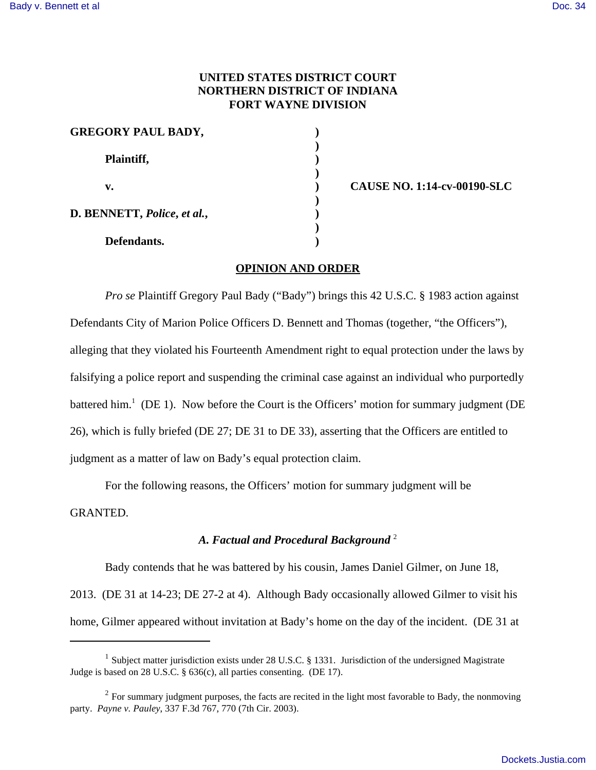## **UNITED STATES DISTRICT COURT NORTHERN DISTRICT OF INDIANA FORT WAYNE DIVISION**

| <b>GREGORY PAUL BADY,</b>   |              |  |
|-----------------------------|--------------|--|
| Plaintiff,                  |              |  |
| v.                          | <b>CAUSE</b> |  |
| D. BENNETT, Police, et al., |              |  |
| Defendants.                 |              |  |

**v. ) CAUSE NO. 1:14-cv-00190-SLC**

## **OPINION AND ORDER**

*Pro se* Plaintiff Gregory Paul Bady ("Bady") brings this 42 U.S.C. § 1983 action against Defendants City of Marion Police Officers D. Bennett and Thomas (together, "the Officers"), alleging that they violated his Fourteenth Amendment right to equal protection under the laws by falsifying a police report and suspending the criminal case against an individual who purportedly battered him.<sup>1</sup> (DE 1). Now before the Court is the Officers' motion for summary judgment (DE 26), which is fully briefed (DE 27; DE 31 to DE 33), asserting that the Officers are entitled to judgment as a matter of law on Bady's equal protection claim.

For the following reasons, the Officers' motion for summary judgment will be GRANTED.

## *A. Factual and Procedural Background* <sup>2</sup>

Bady contends that he was battered by his cousin, James Daniel Gilmer, on June 18, 2013. (DE 31 at 14-23; DE 27-2 at 4). Although Bady occasionally allowed Gilmer to visit his home, Gilmer appeared without invitation at Bady's home on the day of the incident. (DE 31 at

<sup>&</sup>lt;sup>1</sup> Subject matter jurisdiction exists under 28 U.S.C. § 1331. Jurisdiction of the undersigned Magistrate Judge is based on 28 U.S.C. § 636(c), all parties consenting. (DE 17).

 $2^2$  For summary judgment purposes, the facts are recited in the light most favorable to Bady, the nonmoving party. *Payne v. Pauley*, 337 F.3d 767, 770 (7th Cir. 2003).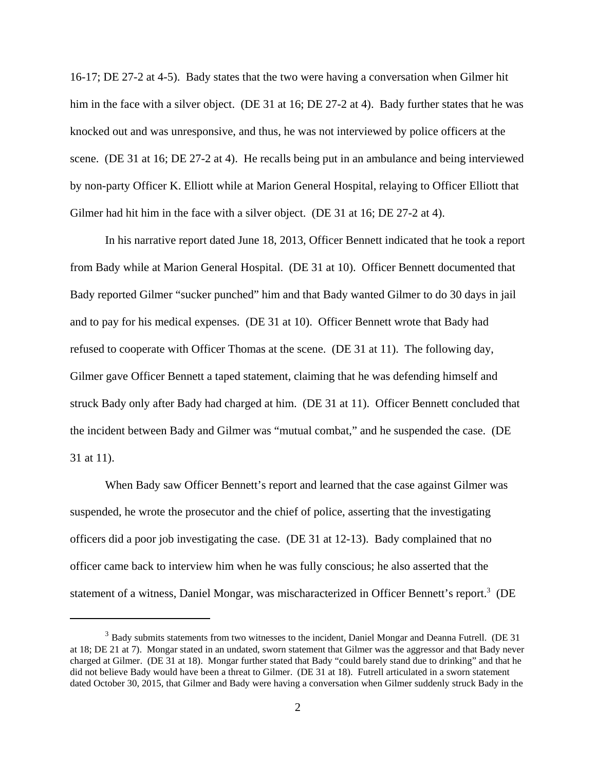16-17; DE 27-2 at 4-5). Bady states that the two were having a conversation when Gilmer hit him in the face with a silver object. (DE 31 at 16; DE 27-2 at 4). Bady further states that he was knocked out and was unresponsive, and thus, he was not interviewed by police officers at the scene. (DE 31 at 16; DE 27-2 at 4). He recalls being put in an ambulance and being interviewed by non-party Officer K. Elliott while at Marion General Hospital, relaying to Officer Elliott that Gilmer had hit him in the face with a silver object. (DE 31 at 16; DE 27-2 at 4).

In his narrative report dated June 18, 2013, Officer Bennett indicated that he took a report from Bady while at Marion General Hospital. (DE 31 at 10). Officer Bennett documented that Bady reported Gilmer "sucker punched" him and that Bady wanted Gilmer to do 30 days in jail and to pay for his medical expenses. (DE 31 at 10). Officer Bennett wrote that Bady had refused to cooperate with Officer Thomas at the scene. (DE 31 at 11). The following day, Gilmer gave Officer Bennett a taped statement, claiming that he was defending himself and struck Bady only after Bady had charged at him. (DE 31 at 11). Officer Bennett concluded that the incident between Bady and Gilmer was "mutual combat," and he suspended the case. (DE 31 at 11).

When Bady saw Officer Bennett's report and learned that the case against Gilmer was suspended, he wrote the prosecutor and the chief of police, asserting that the investigating officers did a poor job investigating the case. (DE 31 at 12-13). Bady complained that no officer came back to interview him when he was fully conscious; he also asserted that the statement of a witness, Daniel Mongar, was mischaracterized in Officer Bennett's report.<sup>3</sup> (DE

<sup>&</sup>lt;sup>3</sup> Bady submits statements from two witnesses to the incident, Daniel Mongar and Deanna Futrell. (DE 31) at 18; DE 21 at 7). Mongar stated in an undated, sworn statement that Gilmer was the aggressor and that Bady never charged at Gilmer. (DE 31 at 18). Mongar further stated that Bady "could barely stand due to drinking" and that he did not believe Bady would have been a threat to Gilmer. (DE 31 at 18). Futrell articulated in a sworn statement dated October 30, 2015, that Gilmer and Bady were having a conversation when Gilmer suddenly struck Bady in the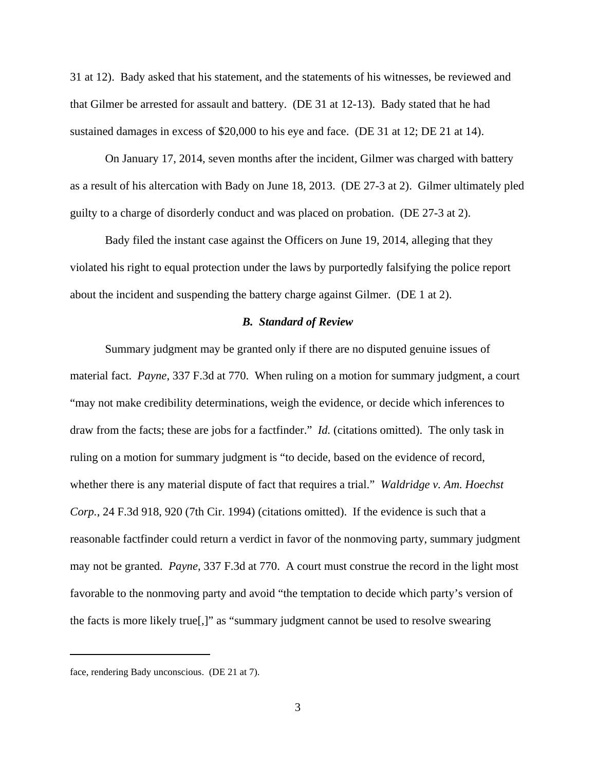31 at 12). Bady asked that his statement, and the statements of his witnesses, be reviewed and that Gilmer be arrested for assault and battery. (DE 31 at 12-13). Bady stated that he had sustained damages in excess of \$20,000 to his eye and face. (DE 31 at 12; DE 21 at 14).

On January 17, 2014, seven months after the incident, Gilmer was charged with battery as a result of his altercation with Bady on June 18, 2013. (DE 27-3 at 2). Gilmer ultimately pled guilty to a charge of disorderly conduct and was placed on probation. (DE 27-3 at 2).

Bady filed the instant case against the Officers on June 19, 2014, alleging that they violated his right to equal protection under the laws by purportedly falsifying the police report about the incident and suspending the battery charge against Gilmer. (DE 1 at 2).

#### *B. Standard of Review*

Summary judgment may be granted only if there are no disputed genuine issues of material fact. *Payne*, 337 F.3d at 770. When ruling on a motion for summary judgment, a court "may not make credibility determinations, weigh the evidence, or decide which inferences to draw from the facts; these are jobs for a factfinder." *Id.* (citations omitted). The only task in ruling on a motion for summary judgment is "to decide, based on the evidence of record, whether there is any material dispute of fact that requires a trial." *Waldridge v. Am. Hoechst Corp.*, 24 F.3d 918, 920 (7th Cir. 1994) (citations omitted). If the evidence is such that a reasonable factfinder could return a verdict in favor of the nonmoving party, summary judgment may not be granted. *Payne*, 337 F.3d at 770. A court must construe the record in the light most favorable to the nonmoving party and avoid "the temptation to decide which party's version of the facts is more likely true[,]" as "summary judgment cannot be used to resolve swearing

face, rendering Bady unconscious. (DE 21 at 7).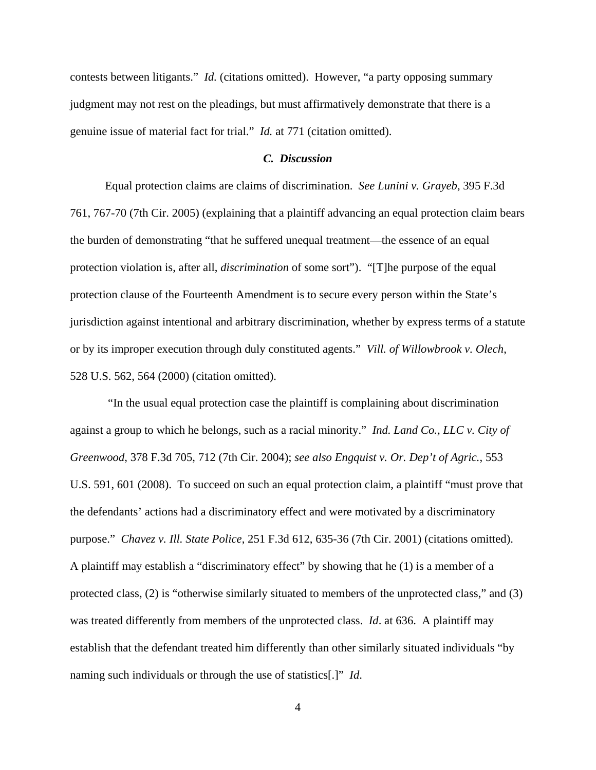contests between litigants." *Id.* (citations omitted). However, "a party opposing summary judgment may not rest on the pleadings, but must affirmatively demonstrate that there is a genuine issue of material fact for trial." *Id.* at 771 (citation omitted).

#### *C. Discussion*

Equal protection claims are claims of discrimination. *See Lunini v. Grayeb*, 395 F.3d 761, 767-70 (7th Cir. 2005) (explaining that a plaintiff advancing an equal protection claim bears the burden of demonstrating "that he suffered unequal treatment—the essence of an equal protection violation is, after all, *discrimination* of some sort"). "[T]he purpose of the equal protection clause of the Fourteenth Amendment is to secure every person within the State's jurisdiction against intentional and arbitrary discrimination, whether by express terms of a statute or by its improper execution through duly constituted agents." *Vill. of Willowbrook v. Olech*, 528 U.S. 562, 564 (2000) (citation omitted).

 "In the usual equal protection case the plaintiff is complaining about discrimination against a group to which he belongs, such as a racial minority." *Ind. Land Co., LLC v. City of Greenwood*, 378 F.3d 705, 712 (7th Cir. 2004); *see also Engquist v. Or. Dep't of Agric.*, 553 U.S. 591, 601 (2008). To succeed on such an equal protection claim, a plaintiff "must prove that the defendants' actions had a discriminatory effect and were motivated by a discriminatory purpose." *Chavez v. Ill. State Police*, 251 F.3d 612, 635-36 (7th Cir. 2001) (citations omitted). A plaintiff may establish a "discriminatory effect" by showing that he (1) is a member of a protected class, (2) is "otherwise similarly situated to members of the unprotected class," and (3) was treated differently from members of the unprotected class. *Id*. at 636. A plaintiff may establish that the defendant treated him differently than other similarly situated individuals "by naming such individuals or through the use of statistics[.]" *Id*.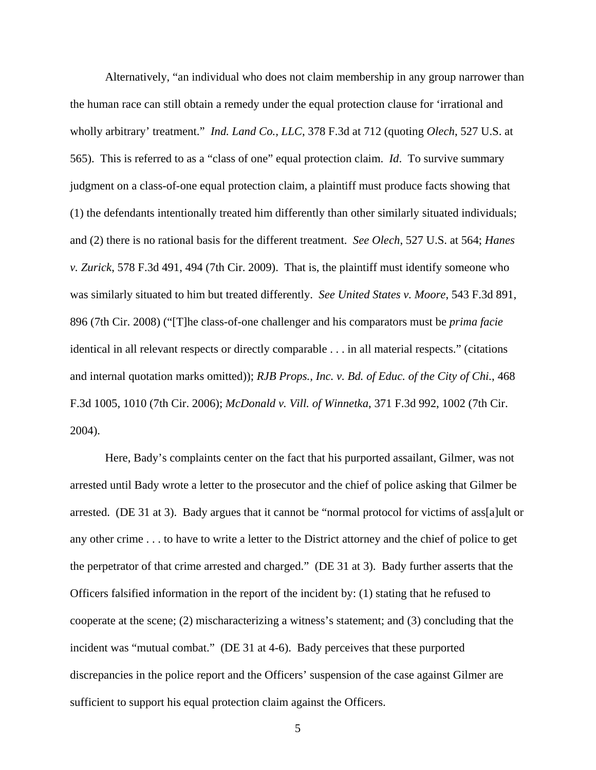Alternatively, "an individual who does not claim membership in any group narrower than the human race can still obtain a remedy under the equal protection clause for 'irrational and wholly arbitrary' treatment." *Ind. Land Co., LLC*, 378 F.3d at 712 (quoting *Olech*, 527 U.S. at 565). This is referred to as a "class of one" equal protection claim. *Id*. To survive summary judgment on a class-of-one equal protection claim, a plaintiff must produce facts showing that (1) the defendants intentionally treated him differently than other similarly situated individuals; and (2) there is no rational basis for the different treatment. *See Olech*, 527 U.S. at 564; *Hanes v. Zurick*, 578 F.3d 491, 494 (7th Cir. 2009). That is, the plaintiff must identify someone who was similarly situated to him but treated differently. *See United States v. Moore*, 543 F.3d 891, 896 (7th Cir. 2008) ("[T]he class-of-one challenger and his comparators must be *prima facie* identical in all relevant respects or directly comparable . . . in all material respects." (citations and internal quotation marks omitted)); *RJB Props., Inc. v. Bd. of Educ. of the City of Chi.*, 468 F.3d 1005, 1010 (7th Cir. 2006); *McDonald v. Vill. of Winnetka*, 371 F.3d 992, 1002 (7th Cir. 2004).

Here, Bady's complaints center on the fact that his purported assailant, Gilmer, was not arrested until Bady wrote a letter to the prosecutor and the chief of police asking that Gilmer be arrested. (DE 31 at 3). Bady argues that it cannot be "normal protocol for victims of ass[a]ult or any other crime . . . to have to write a letter to the District attorney and the chief of police to get the perpetrator of that crime arrested and charged." (DE 31 at 3). Bady further asserts that the Officers falsified information in the report of the incident by: (1) stating that he refused to cooperate at the scene; (2) mischaracterizing a witness's statement; and (3) concluding that the incident was "mutual combat." (DE 31 at 4-6). Bady perceives that these purported discrepancies in the police report and the Officers' suspension of the case against Gilmer are sufficient to support his equal protection claim against the Officers.

5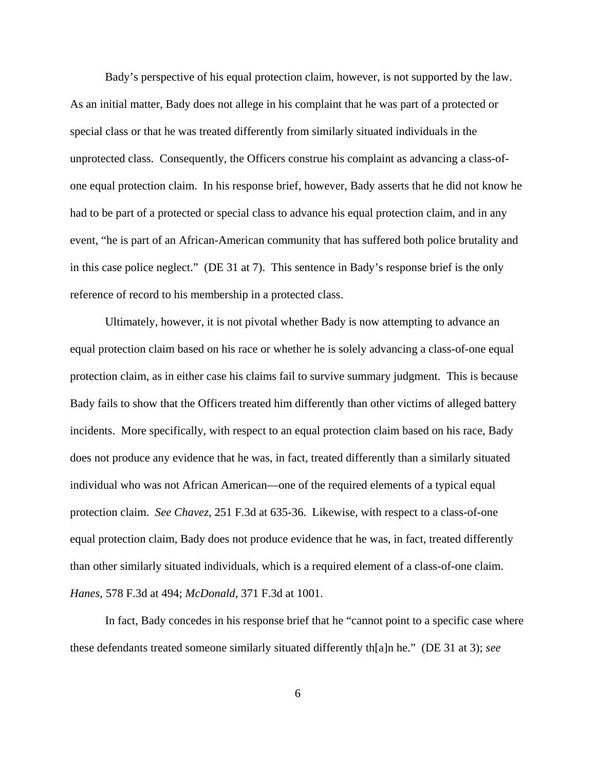Bady's perspective of his equal protection claim, however, is not supported by the law. As an initial matter, Bady does not allege in his complaint that he was part of a protected or special class or that he was treated differently from similarly situated individuals in the unprotected class. Consequently, the Officers construe his complaint as advancing a class-ofone equal protection claim. In his response brief, however, Bady asserts that he did not know he had to be part of a protected or special class to advance his equal protection claim, and in any event, "he is part of an African-American community that has suffered both police brutality and in this case police neglect." (DE 31 at 7). This sentence in Bady's response brief is the only reference of record to his membership in a protected class.

Ultimately, however, it is not pivotal whether Bady is now attempting to advance an equal protection claim based on his race or whether he is solely advancing a class-of-one equal protection claim, as in either case his claims fail to survive summary judgment. This is because Bady fails to show that the Officers treated him differently than other victims of alleged battery incidents. More specifically, with respect to an equal protection claim based on his race, Bady does not produce any evidence that he was, in fact, treated differently than a similarly situated individual who was not African American—one of the required elements of a typical equal protection claim. *See Chavez*, 251 F.3d at 635-36. Likewise, with respect to a class-of-one equal protection claim, Bady does not produce evidence that he was, in fact, treated differently than other similarly situated individuals, which is a required element of a class-of-one claim. *Hanes*, 578 F.3d at 494; *McDonald*, 371 F.3d at 1001.

 In fact, Bady concedes in his response brief that he "cannot point to a specific case where these defendants treated someone similarly situated differently th[a]n he." (DE 31 at 3); *see*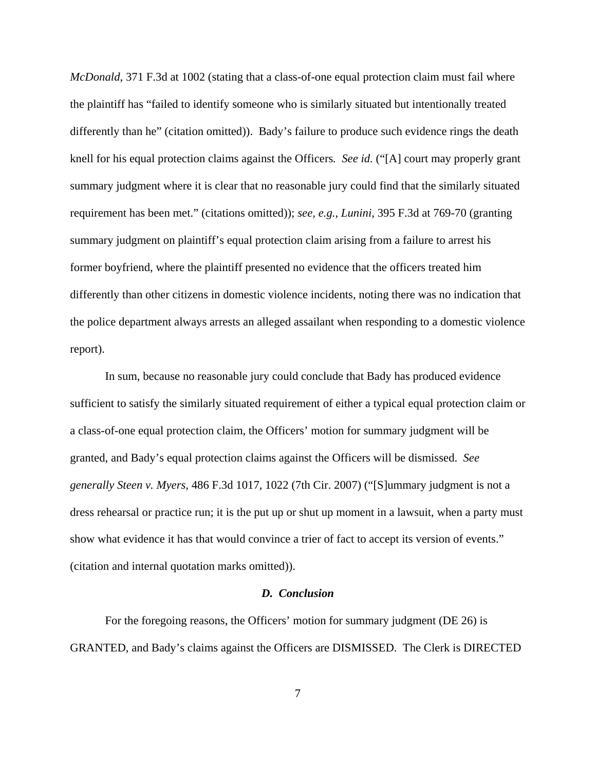*McDonald*, 371 F.3d at 1002 (stating that a class-of-one equal protection claim must fail where the plaintiff has "failed to identify someone who is similarly situated but intentionally treated differently than he" (citation omitted)). Bady's failure to produce such evidence rings the death knell for his equal protection claims against the Officers*. See id.* ("[A] court may properly grant summary judgment where it is clear that no reasonable jury could find that the similarly situated requirement has been met." (citations omitted)); *see, e.g.*, *Lunini*, 395 F.3d at 769-70 (granting summary judgment on plaintiff's equal protection claim arising from a failure to arrest his former boyfriend, where the plaintiff presented no evidence that the officers treated him differently than other citizens in domestic violence incidents, noting there was no indication that the police department always arrests an alleged assailant when responding to a domestic violence report).

In sum, because no reasonable jury could conclude that Bady has produced evidence sufficient to satisfy the similarly situated requirement of either a typical equal protection claim or a class-of-one equal protection claim, the Officers' motion for summary judgment will be granted, and Bady's equal protection claims against the Officers will be dismissed. *See generally Steen v. Myers*, 486 F.3d 1017, 1022 (7th Cir. 2007) ("[S]ummary judgment is not a dress rehearsal or practice run; it is the put up or shut up moment in a lawsuit, when a party must show what evidence it has that would convince a trier of fact to accept its version of events." (citation and internal quotation marks omitted)).

#### *D. Conclusion*

For the foregoing reasons, the Officers' motion for summary judgment (DE 26) is GRANTED, and Bady's claims against the Officers are DISMISSED. The Clerk is DIRECTED